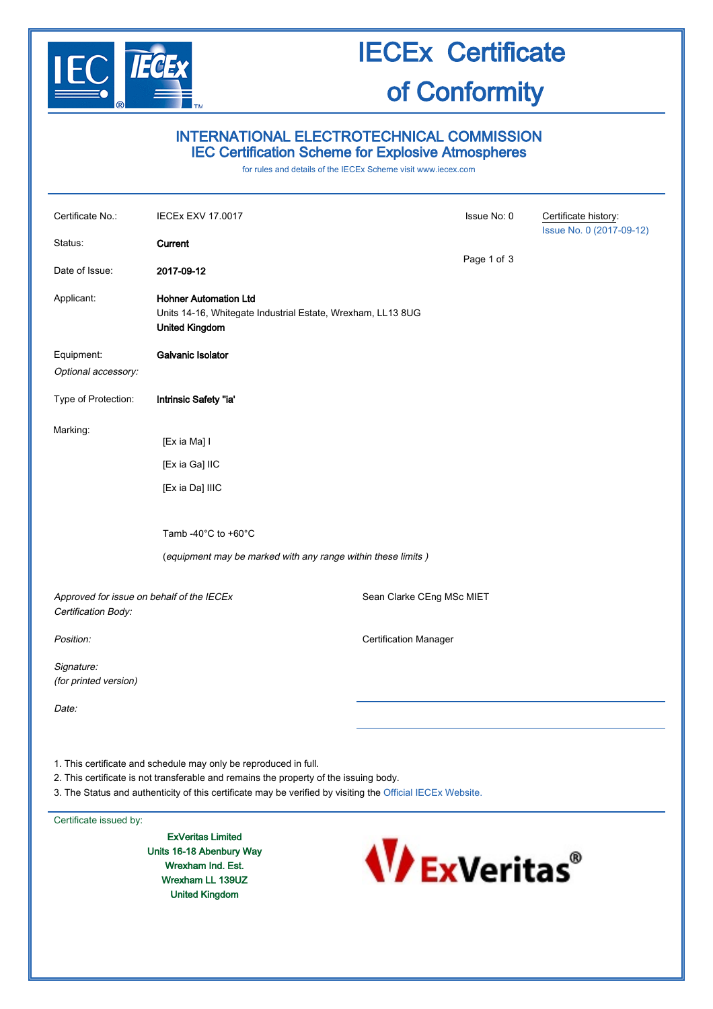

### IECEx Certificate of Conformity

### INTERNATIONAL ELECTROTECHNICAL COMMISSION IEC Certification Scheme for Explosive Atmospheres

for rules and details of the IECEx Scheme visit [www.iecex.com](http://www.iecex.com/)

| Certificate No.:<br>Status:                                      | <b>IECEx EXV 17.0017</b><br>Current                                                                                                      |                              | Issue No: 0 | Certificate history:<br>Issue No. 0 (2017-09-12) |
|------------------------------------------------------------------|------------------------------------------------------------------------------------------------------------------------------------------|------------------------------|-------------|--------------------------------------------------|
| Date of Issue:                                                   | 2017-09-12                                                                                                                               |                              | Page 1 of 3 |                                                  |
| Applicant:                                                       | <b>Hohner Automation Ltd</b><br>Units 14-16, Whitegate Industrial Estate, Wrexham, LL13 8UG<br><b>United Kingdom</b>                     |                              |             |                                                  |
| Equipment:<br>Optional accessory:                                | Galvanic Isolator                                                                                                                        |                              |             |                                                  |
| Type of Protection:                                              | Intrinsic Safety "ia'                                                                                                                    |                              |             |                                                  |
| Marking:                                                         | [Ex ia Ma] I<br>[Ex ia Ga] IIC<br>[Ex ia Da] IIIC<br>Tamb -40°C to +60°C<br>(equipment may be marked with any range within these limits) |                              |             |                                                  |
| Approved for issue on behalf of the IECEx<br>Certification Body: |                                                                                                                                          | Sean Clarke CEng MSc MIET    |             |                                                  |
| Position:                                                        |                                                                                                                                          | <b>Certification Manager</b> |             |                                                  |
| Signature:<br>(for printed version)                              |                                                                                                                                          |                              |             |                                                  |
| Date:                                                            |                                                                                                                                          |                              |             |                                                  |
|                                                                  |                                                                                                                                          |                              |             |                                                  |

1. This certificate and schedule may only be reproduced in full.

2. This certificate is not transferable and remains the property of the issuing body.

3. The Status and authenticity of this certificate may be verified by visiting the [Official IECEx Website.](http://iecex.iec.ch/)

### Certificate issued by:

ExVeritas Limited Units 16-18 Abenbury Way Wrexham Ind. Est. Wrexham LL 139UZ United Kingdom

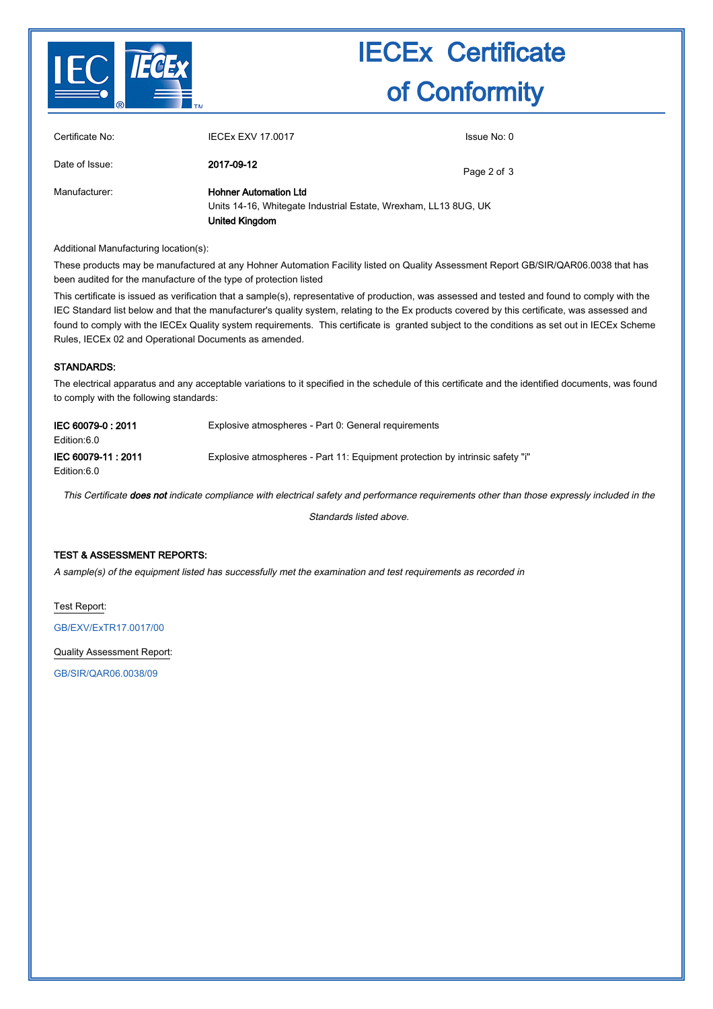

# IECEx Certificate of Conformity

| Certificate No: | <b>IECEX EXV 17.0017</b>                                                                                                 | Issue No: 0 |
|-----------------|--------------------------------------------------------------------------------------------------------------------------|-------------|
| Date of Issue:  | 2017-09-12                                                                                                               | Page 2 of 3 |
| Manufacturer:   | <b>Hohner Automation Ltd</b><br>Units 14-16, Whitegate Industrial Estate, Wrexham, LL13 8UG, UK<br><b>United Kingdom</b> |             |

Additional Manufacturing location(s):

These products may be manufactured at any Hohner Automation Facility listed on Quality Assessment Report GB/SIR/QAR06.0038 that has been audited for the manufacture of the type of protection listed

This certificate is issued as verification that a sample(s), representative of production, was assessed and tested and found to comply with the IEC Standard list below and that the manufacturer's quality system, relating to the Ex products covered by this certificate, was assessed and found to comply with the IECEx Quality system requirements. This certificate is granted subject to the conditions as set out in IECEx Scheme Rules, IECEx 02 and Operational Documents as amended.

### STANDARDS:

The electrical apparatus and any acceptable variations to it specified in the schedule of this certificate and the identified documents, was found to comply with the following standards:

| IEC 60079-0 : 2011<br>Edition:6.0 | Explosive atmospheres - Part 0: General requirements                          |
|-----------------------------------|-------------------------------------------------------------------------------|
| IEC 60079-11: 2011<br>Edition:6.0 | Explosive atmospheres - Part 11: Equipment protection by intrinsic safety "i" |

This Certificate does not indicate compliance with electrical safety and performance requirements other than those expressly included in the

Standards listed above.

### TEST & ASSESSMENT REPORTS:

A sample(s) of the equipment listed has successfully met the examination and test requirements as recorded in

Test Report:

[GB/EXV/ExTR17.0017/00](http://iecex.iec.ch/iecex/IECExWeb.nsf/ExTRNumber/GB/EXV/ExTR17.0017/00?OpenDocument)

Quality Assessment Report:

[GB/SIR/QAR06.0038/09](http://iecex.iec.ch/iecex/IECExWeb.nsf/QARNumber/GB/SIR/QAR06.0038/09?OpenDocument)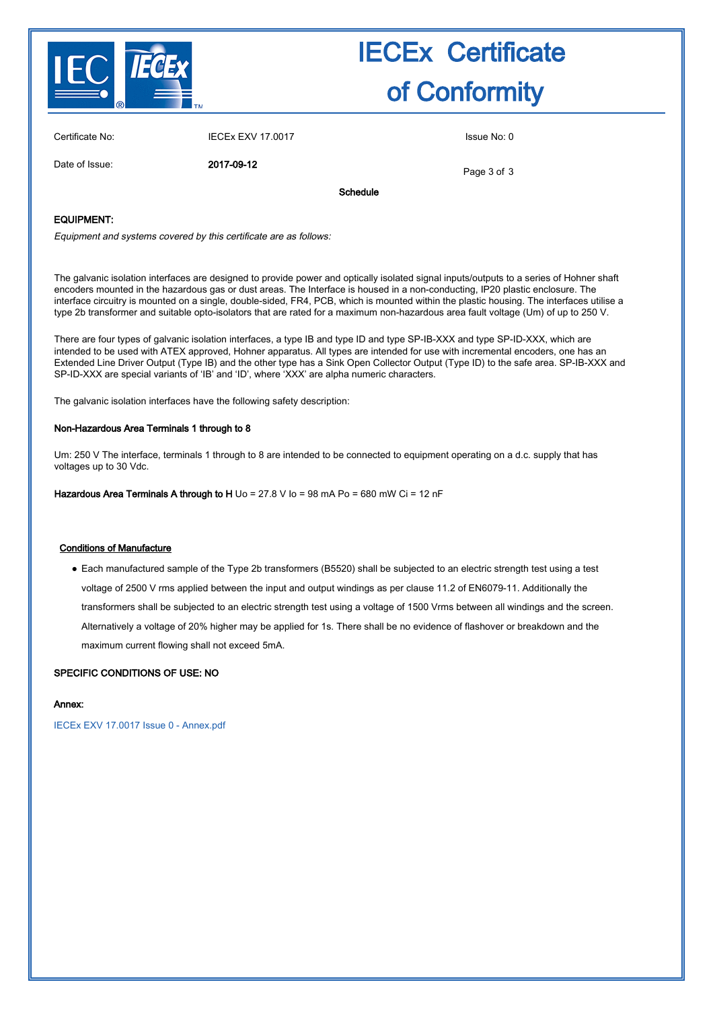

# IECEx Certificate of Conformity

| Certificate No: | <b>IECEx EXV 17.0017</b> | Issue No: 0 |
|-----------------|--------------------------|-------------|
|                 |                          |             |

Date of Issue: 2017-09-12

Page 3 of 3

Schedule

### EQUIPMENT:

Equipment and systems covered by this certificate are as follows:

The galvanic isolation interfaces are designed to provide power and optically isolated signal inputs/outputs to a series of Hohner shaft encoders mounted in the hazardous gas or dust areas. The Interface is housed in a non-conducting, IP20 plastic enclosure. The interface circuitry is mounted on a single, double-sided, FR4, PCB, which is mounted within the plastic housing. The interfaces utilise a type 2b transformer and suitable opto-isolators that are rated for a maximum non-hazardous area fault voltage (Um) of up to 250 V.

There are four types of galvanic isolation interfaces, a type IB and type ID and type SP-IB-XXX and type SP-ID-XXX, which are intended to be used with ATEX approved, Hohner apparatus. All types are intended for use with incremental encoders, one has an Extended Line Driver Output (Type IB) and the other type has a Sink Open Collector Output (Type ID) to the safe area. SP-IB-XXX and SP-ID-XXX are special variants of 'IB' and 'ID', where 'XXX' are alpha numeric characters.

The galvanic isolation interfaces have the following safety description:

### Non-Hazardous Area Terminals 1 through to 8

Um: 250 V The interface, terminals 1 through to 8 are intended to be connected to equipment operating on a d.c. supply that has voltages up to 30 Vdc.

Hazardous Area Terminals A through to H  $\cup$  o = 27.8 V  $\mid$  o = 98 mA Po = 680 mW Ci = 12 nF

### Conditions of Manufacture

● Each manufactured sample of the Type 2b transformers (B5520) shall be subjected to an electric strength test using a test voltage of 2500 V rms applied between the input and output windings as per clause 11.2 of EN6079-11. Additionally the transformers shall be subjected to an electric strength test using a voltage of 1500 Vrms between all windings and the screen. Alternatively a voltage of 20% higher may be applied for 1s. There shall be no evidence of flashover or breakdown and the maximum current flowing shall not exceed 5mA.

### SPECIFIC CONDITIONS OF USE: NO

### Annex:

[IECEx EXV 17.0017 Issue 0 - Annex.pdf](http://iecex.iec.ch/iecex/IECExWeb.nsf/0/835BD8C3D16972ECC1258170004AF52F/$File/IECEx EXV 17.0017 Issue 0 - Annex.pdf)